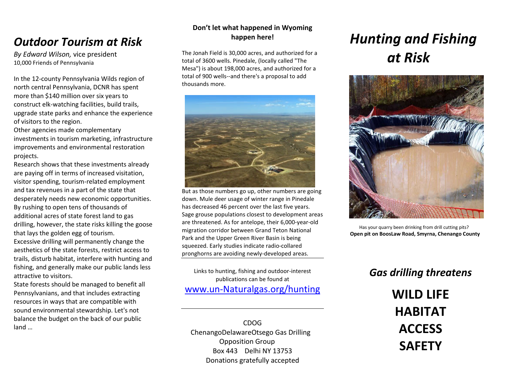# *Outdoor Tourism at Risk*

*By Edward Wilson,* vice president 10,000 Friends of Pennsylvania

In the 12-county Pennsylvania Wilds region of north central Pennsylvania, DCNR has spent more than \$140 million over six years to construct elk-watching facilities, build trails, upgrade state parks and enhance the experience of visitors to the region.

Other agencies made complementary investments in tourism marketing, infrastructure improvements and environmental restoration projects.

Research shows that these investments already are paying off in terms of increased visitation, visitor spending, tourism-related employment and tax revenues in a part of the state that desperately needs new economic opportunities. By rushing to open tens of thousands of additional acres of state forest land to gas drilling, however, the state risks killing the goose that lays the golden egg of tourism.

Excessive drilling will permanently change the aesthetics of the state forests, restrict access to trails, disturb habitat, interfere with hunting and fishing, and generally make our public lands less attractive to visitors.

State forests should be managed to benefit all Pennsylvanians, and that includes extracting resources in ways that are compatible with sound environmental stewardship. Let's not balance the budget on the back of our public land …

#### **Don't let what happened in Wyoming happen here!**

The Jonah Field is 30,000 acres, and authorized for a total of 3600 wells. Pinedale, (locally called "The Mesa") is about 198,000 acres, and authorized for a total of 900 wells--and there's a proposal to add thousands more.



But as those numbers go up, other numbers are going down. Mule deer usage of winter range in Pinedale has decreased 46 percent over the last five years. Sage grouse populations closest to development areas are threatened. As for antelope, their 6,000-year-old migration corridor between Grand Teton National Park and the Upper Green River Basin is being squeezed. Early studies indicate radio-collared pronghorns are avoiding newly-developed areas.

Links to hunting, fishing and outdoor-interest publications can be found at [www.un-Naturalgas.org/hunting](http://www.un-naturalgas.org/hunting)

CDOG ChenangoDelawareOtsego Gas Drilling Opposition Group Box 443 Delhi NY 13753 Donations gratefully accepted

# *Hunting and Fishing at Risk*



Has your quarry been drinking from drill cutting pits? **Open pit on BoosLaw Road, Smyrna, Chenango County**

## *Gas drilling threatens*

**WILD LIFE HABITAT ACCESS SAFETY**